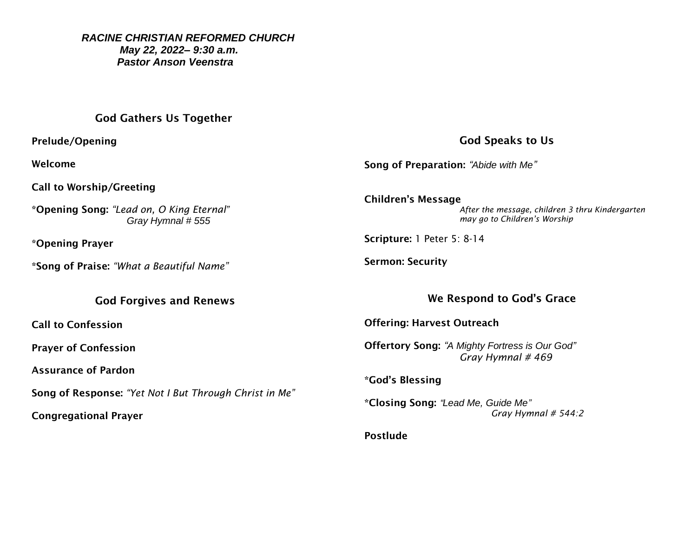*RACINE CHRISTIAN REFORMED CHURCH May 22, 2022– 9:30 a.m. Pastor Anson Veenstra*

#### God Gathers Us Together

Prelude/Opening

Welcome

Call to Worship/Greeting

\*Opening Song: *"Lead on, O King Eternal" Gray Hymnal # 555*

\*Opening Prayer

\*Song of Praise: *"What a Beautiful Name"*

#### God Forgives and Renews

Call to Confession

Prayer of Confession

Assurance of Pardon

Song of Response: *"Yet Not I But Through Christ in Me"*

Congregational Prayer

# God Speaks to Us

Song of Preparation: *"Abide with Me"*

Children's Message *After the message, children 3 thru Kindergarten may go to Children's Worship* 

Scripture: 1 Peter 5: 8-14

Sermon: Security

# We Respond to God's Grace

Offering: Harvest Outreach

Offertory Song: *"A Mighty Fortress is Our God" Gray Hymnal # 469*

\*God's Blessing

\*Closing Song: *"Lead Me, Guide Me" Gray Hymnal # 544:2*

Postlude